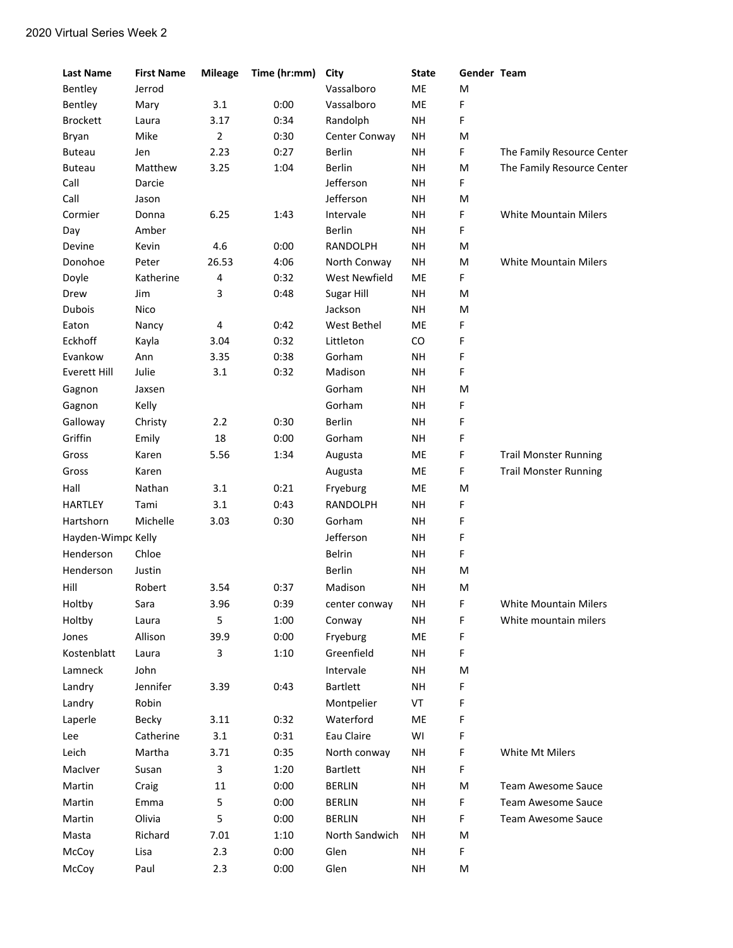| Vassalboro<br>ME<br>Bentley<br>Jerrod<br>M<br>0:00<br>Vassalboro<br>ME<br>F<br>Bentley<br>3.1<br>Mary<br><b>Brockett</b><br>3.17<br>0:34<br>Randolph<br><b>NH</b><br>F<br>Laura<br>Bryan<br>Mike<br>$\overline{2}$<br>0:30<br>Center Conway<br><b>NH</b><br>M<br><b>Buteau</b><br>2.23<br>0:27<br><b>Berlin</b><br><b>NH</b><br>F<br>The Family Resource Center<br>Jen<br>Matthew<br>3.25<br>1:04<br><b>Berlin</b><br><b>NH</b><br>M<br>The Family Resource Center<br><b>Buteau</b><br>Call<br>Jefferson<br><b>NH</b><br>F<br>Darcie<br>Call<br>Jefferson<br><b>NH</b><br>M<br>Jason<br>Cormier<br>Donna<br>6.25<br>1:43<br>Intervale<br><b>NH</b><br>F<br><b>White Mountain Milers</b><br>Berlin<br><b>NH</b><br>Amber<br>F<br>Day<br>0:00<br>Devine<br>4.6<br><b>RANDOLPH</b><br><b>NH</b><br>M<br>Kevin<br>26.53<br>4:06<br><b>NH</b><br>Donohoe<br>Peter<br>North Conway<br>M<br><b>White Mountain Milers</b><br>F.<br>Doyle<br>Katherine<br>4<br>0:32<br><b>West Newfield</b><br>ME<br>3<br>Jim<br>0:48<br>Sugar Hill<br><b>NH</b><br>M<br>Drew<br><b>Dubois</b><br><b>NH</b><br>Nico<br>Jackson<br>M<br>4<br>0:42<br>West Bethel<br>ME<br>F<br>Eaton<br>Nancy<br>Eckhoff<br>0:32<br>CO<br>F<br>3.04<br>Littleton<br>Kayla<br><b>NH</b><br>Evankow<br>Ann<br>3.35<br>0:38<br>Gorham<br>F<br>Julie<br>3.1<br>0:32<br>Madison<br><b>NH</b><br>F<br>Everett Hill<br>Gorham<br><b>NH</b><br>M<br>Gagnon<br>Jaxsen<br>Kelly<br>Gorham<br>F<br>Gagnon<br><b>NH</b><br>Galloway<br>2.2<br>0:30<br><b>Berlin</b><br><b>NH</b><br>F<br>Christy<br>Griffin<br>18<br>0:00<br>Gorham<br><b>NH</b><br>F<br>Emily<br>5.56<br>1:34<br>ME<br>F<br>Gross<br>Karen<br>Augusta<br><b>Trail Monster Running</b><br>Karen<br>ME<br>F<br><b>Trail Monster Running</b><br>Gross<br>Augusta<br>Nathan<br>3.1<br>0:21<br>Hall<br>Fryeburg<br>ME<br>M<br><b>HARTLEY</b><br>3.1<br>RANDOLPH<br>Tami<br>0:43<br><b>NH</b><br>F | <b>Last Name</b> | <b>First Name</b> | <b>Mileage</b> | Time (hr:mm) | City | <b>State</b> | Gender Team |  |
|---------------------------------------------------------------------------------------------------------------------------------------------------------------------------------------------------------------------------------------------------------------------------------------------------------------------------------------------------------------------------------------------------------------------------------------------------------------------------------------------------------------------------------------------------------------------------------------------------------------------------------------------------------------------------------------------------------------------------------------------------------------------------------------------------------------------------------------------------------------------------------------------------------------------------------------------------------------------------------------------------------------------------------------------------------------------------------------------------------------------------------------------------------------------------------------------------------------------------------------------------------------------------------------------------------------------------------------------------------------------------------------------------------------------------------------------------------------------------------------------------------------------------------------------------------------------------------------------------------------------------------------------------------------------------------------------------------------------------------------------------------------------------------------------------------------------------------------------------------------------------------------------------------|------------------|-------------------|----------------|--------------|------|--------------|-------------|--|
|                                                                                                                                                                                                                                                                                                                                                                                                                                                                                                                                                                                                                                                                                                                                                                                                                                                                                                                                                                                                                                                                                                                                                                                                                                                                                                                                                                                                                                                                                                                                                                                                                                                                                                                                                                                                                                                                                                         |                  |                   |                |              |      |              |             |  |
|                                                                                                                                                                                                                                                                                                                                                                                                                                                                                                                                                                                                                                                                                                                                                                                                                                                                                                                                                                                                                                                                                                                                                                                                                                                                                                                                                                                                                                                                                                                                                                                                                                                                                                                                                                                                                                                                                                         |                  |                   |                |              |      |              |             |  |
|                                                                                                                                                                                                                                                                                                                                                                                                                                                                                                                                                                                                                                                                                                                                                                                                                                                                                                                                                                                                                                                                                                                                                                                                                                                                                                                                                                                                                                                                                                                                                                                                                                                                                                                                                                                                                                                                                                         |                  |                   |                |              |      |              |             |  |
|                                                                                                                                                                                                                                                                                                                                                                                                                                                                                                                                                                                                                                                                                                                                                                                                                                                                                                                                                                                                                                                                                                                                                                                                                                                                                                                                                                                                                                                                                                                                                                                                                                                                                                                                                                                                                                                                                                         |                  |                   |                |              |      |              |             |  |
|                                                                                                                                                                                                                                                                                                                                                                                                                                                                                                                                                                                                                                                                                                                                                                                                                                                                                                                                                                                                                                                                                                                                                                                                                                                                                                                                                                                                                                                                                                                                                                                                                                                                                                                                                                                                                                                                                                         |                  |                   |                |              |      |              |             |  |
|                                                                                                                                                                                                                                                                                                                                                                                                                                                                                                                                                                                                                                                                                                                                                                                                                                                                                                                                                                                                                                                                                                                                                                                                                                                                                                                                                                                                                                                                                                                                                                                                                                                                                                                                                                                                                                                                                                         |                  |                   |                |              |      |              |             |  |
|                                                                                                                                                                                                                                                                                                                                                                                                                                                                                                                                                                                                                                                                                                                                                                                                                                                                                                                                                                                                                                                                                                                                                                                                                                                                                                                                                                                                                                                                                                                                                                                                                                                                                                                                                                                                                                                                                                         |                  |                   |                |              |      |              |             |  |
|                                                                                                                                                                                                                                                                                                                                                                                                                                                                                                                                                                                                                                                                                                                                                                                                                                                                                                                                                                                                                                                                                                                                                                                                                                                                                                                                                                                                                                                                                                                                                                                                                                                                                                                                                                                                                                                                                                         |                  |                   |                |              |      |              |             |  |
|                                                                                                                                                                                                                                                                                                                                                                                                                                                                                                                                                                                                                                                                                                                                                                                                                                                                                                                                                                                                                                                                                                                                                                                                                                                                                                                                                                                                                                                                                                                                                                                                                                                                                                                                                                                                                                                                                                         |                  |                   |                |              |      |              |             |  |
|                                                                                                                                                                                                                                                                                                                                                                                                                                                                                                                                                                                                                                                                                                                                                                                                                                                                                                                                                                                                                                                                                                                                                                                                                                                                                                                                                                                                                                                                                                                                                                                                                                                                                                                                                                                                                                                                                                         |                  |                   |                |              |      |              |             |  |
|                                                                                                                                                                                                                                                                                                                                                                                                                                                                                                                                                                                                                                                                                                                                                                                                                                                                                                                                                                                                                                                                                                                                                                                                                                                                                                                                                                                                                                                                                                                                                                                                                                                                                                                                                                                                                                                                                                         |                  |                   |                |              |      |              |             |  |
|                                                                                                                                                                                                                                                                                                                                                                                                                                                                                                                                                                                                                                                                                                                                                                                                                                                                                                                                                                                                                                                                                                                                                                                                                                                                                                                                                                                                                                                                                                                                                                                                                                                                                                                                                                                                                                                                                                         |                  |                   |                |              |      |              |             |  |
|                                                                                                                                                                                                                                                                                                                                                                                                                                                                                                                                                                                                                                                                                                                                                                                                                                                                                                                                                                                                                                                                                                                                                                                                                                                                                                                                                                                                                                                                                                                                                                                                                                                                                                                                                                                                                                                                                                         |                  |                   |                |              |      |              |             |  |
|                                                                                                                                                                                                                                                                                                                                                                                                                                                                                                                                                                                                                                                                                                                                                                                                                                                                                                                                                                                                                                                                                                                                                                                                                                                                                                                                                                                                                                                                                                                                                                                                                                                                                                                                                                                                                                                                                                         |                  |                   |                |              |      |              |             |  |
|                                                                                                                                                                                                                                                                                                                                                                                                                                                                                                                                                                                                                                                                                                                                                                                                                                                                                                                                                                                                                                                                                                                                                                                                                                                                                                                                                                                                                                                                                                                                                                                                                                                                                                                                                                                                                                                                                                         |                  |                   |                |              |      |              |             |  |
|                                                                                                                                                                                                                                                                                                                                                                                                                                                                                                                                                                                                                                                                                                                                                                                                                                                                                                                                                                                                                                                                                                                                                                                                                                                                                                                                                                                                                                                                                                                                                                                                                                                                                                                                                                                                                                                                                                         |                  |                   |                |              |      |              |             |  |
|                                                                                                                                                                                                                                                                                                                                                                                                                                                                                                                                                                                                                                                                                                                                                                                                                                                                                                                                                                                                                                                                                                                                                                                                                                                                                                                                                                                                                                                                                                                                                                                                                                                                                                                                                                                                                                                                                                         |                  |                   |                |              |      |              |             |  |
|                                                                                                                                                                                                                                                                                                                                                                                                                                                                                                                                                                                                                                                                                                                                                                                                                                                                                                                                                                                                                                                                                                                                                                                                                                                                                                                                                                                                                                                                                                                                                                                                                                                                                                                                                                                                                                                                                                         |                  |                   |                |              |      |              |             |  |
|                                                                                                                                                                                                                                                                                                                                                                                                                                                                                                                                                                                                                                                                                                                                                                                                                                                                                                                                                                                                                                                                                                                                                                                                                                                                                                                                                                                                                                                                                                                                                                                                                                                                                                                                                                                                                                                                                                         |                  |                   |                |              |      |              |             |  |
|                                                                                                                                                                                                                                                                                                                                                                                                                                                                                                                                                                                                                                                                                                                                                                                                                                                                                                                                                                                                                                                                                                                                                                                                                                                                                                                                                                                                                                                                                                                                                                                                                                                                                                                                                                                                                                                                                                         |                  |                   |                |              |      |              |             |  |
|                                                                                                                                                                                                                                                                                                                                                                                                                                                                                                                                                                                                                                                                                                                                                                                                                                                                                                                                                                                                                                                                                                                                                                                                                                                                                                                                                                                                                                                                                                                                                                                                                                                                                                                                                                                                                                                                                                         |                  |                   |                |              |      |              |             |  |
|                                                                                                                                                                                                                                                                                                                                                                                                                                                                                                                                                                                                                                                                                                                                                                                                                                                                                                                                                                                                                                                                                                                                                                                                                                                                                                                                                                                                                                                                                                                                                                                                                                                                                                                                                                                                                                                                                                         |                  |                   |                |              |      |              |             |  |
|                                                                                                                                                                                                                                                                                                                                                                                                                                                                                                                                                                                                                                                                                                                                                                                                                                                                                                                                                                                                                                                                                                                                                                                                                                                                                                                                                                                                                                                                                                                                                                                                                                                                                                                                                                                                                                                                                                         |                  |                   |                |              |      |              |             |  |
|                                                                                                                                                                                                                                                                                                                                                                                                                                                                                                                                                                                                                                                                                                                                                                                                                                                                                                                                                                                                                                                                                                                                                                                                                                                                                                                                                                                                                                                                                                                                                                                                                                                                                                                                                                                                                                                                                                         |                  |                   |                |              |      |              |             |  |
|                                                                                                                                                                                                                                                                                                                                                                                                                                                                                                                                                                                                                                                                                                                                                                                                                                                                                                                                                                                                                                                                                                                                                                                                                                                                                                                                                                                                                                                                                                                                                                                                                                                                                                                                                                                                                                                                                                         |                  |                   |                |              |      |              |             |  |
|                                                                                                                                                                                                                                                                                                                                                                                                                                                                                                                                                                                                                                                                                                                                                                                                                                                                                                                                                                                                                                                                                                                                                                                                                                                                                                                                                                                                                                                                                                                                                                                                                                                                                                                                                                                                                                                                                                         |                  |                   |                |              |      |              |             |  |
|                                                                                                                                                                                                                                                                                                                                                                                                                                                                                                                                                                                                                                                                                                                                                                                                                                                                                                                                                                                                                                                                                                                                                                                                                                                                                                                                                                                                                                                                                                                                                                                                                                                                                                                                                                                                                                                                                                         |                  |                   |                |              |      |              |             |  |
| Michelle<br>3.03<br>Gorham<br>F<br>Hartshorn<br>0:30<br><b>NH</b>                                                                                                                                                                                                                                                                                                                                                                                                                                                                                                                                                                                                                                                                                                                                                                                                                                                                                                                                                                                                                                                                                                                                                                                                                                                                                                                                                                                                                                                                                                                                                                                                                                                                                                                                                                                                                                       |                  |                   |                |              |      |              |             |  |
| Jefferson<br><b>NH</b><br>F<br>Hayden-Wimpc Kelly                                                                                                                                                                                                                                                                                                                                                                                                                                                                                                                                                                                                                                                                                                                                                                                                                                                                                                                                                                                                                                                                                                                                                                                                                                                                                                                                                                                                                                                                                                                                                                                                                                                                                                                                                                                                                                                       |                  |                   |                |              |      |              |             |  |
| Henderson<br>Belrin<br>Chloe<br><b>NH</b><br>F                                                                                                                                                                                                                                                                                                                                                                                                                                                                                                                                                                                                                                                                                                                                                                                                                                                                                                                                                                                                                                                                                                                                                                                                                                                                                                                                                                                                                                                                                                                                                                                                                                                                                                                                                                                                                                                          |                  |                   |                |              |      |              |             |  |
| Berlin<br>Henderson<br>Justin<br><b>NH</b><br>M                                                                                                                                                                                                                                                                                                                                                                                                                                                                                                                                                                                                                                                                                                                                                                                                                                                                                                                                                                                                                                                                                                                                                                                                                                                                                                                                                                                                                                                                                                                                                                                                                                                                                                                                                                                                                                                         |                  |                   |                |              |      |              |             |  |
| Hill<br>Madison<br>Robert<br>3.54<br>0:37<br><b>NH</b><br>M                                                                                                                                                                                                                                                                                                                                                                                                                                                                                                                                                                                                                                                                                                                                                                                                                                                                                                                                                                                                                                                                                                                                                                                                                                                                                                                                                                                                                                                                                                                                                                                                                                                                                                                                                                                                                                             |                  |                   |                |              |      |              |             |  |
| Holtby<br>Sara<br>3.96<br>0:39<br>center conway<br>NΗ<br>F<br>White Mountain Milers                                                                                                                                                                                                                                                                                                                                                                                                                                                                                                                                                                                                                                                                                                                                                                                                                                                                                                                                                                                                                                                                                                                                                                                                                                                                                                                                                                                                                                                                                                                                                                                                                                                                                                                                                                                                                     |                  |                   |                |              |      |              |             |  |
| 5<br>Holtby<br>1:00<br><b>NH</b><br>F<br>White mountain milers<br>Laura<br>Conway                                                                                                                                                                                                                                                                                                                                                                                                                                                                                                                                                                                                                                                                                                                                                                                                                                                                                                                                                                                                                                                                                                                                                                                                                                                                                                                                                                                                                                                                                                                                                                                                                                                                                                                                                                                                                       |                  |                   |                |              |      |              |             |  |
| 0:00<br>Jones<br>Allison<br>39.9<br>Fryeburg<br>ME<br>F                                                                                                                                                                                                                                                                                                                                                                                                                                                                                                                                                                                                                                                                                                                                                                                                                                                                                                                                                                                                                                                                                                                                                                                                                                                                                                                                                                                                                                                                                                                                                                                                                                                                                                                                                                                                                                                 |                  |                   |                |              |      |              |             |  |
| Kostenblatt<br>3<br>1:10<br>Greenfield<br><b>NH</b><br>F<br>Laura                                                                                                                                                                                                                                                                                                                                                                                                                                                                                                                                                                                                                                                                                                                                                                                                                                                                                                                                                                                                                                                                                                                                                                                                                                                                                                                                                                                                                                                                                                                                                                                                                                                                                                                                                                                                                                       |                  |                   |                |              |      |              |             |  |
| John<br>Lamneck<br>Intervale<br><b>NH</b><br>M                                                                                                                                                                                                                                                                                                                                                                                                                                                                                                                                                                                                                                                                                                                                                                                                                                                                                                                                                                                                                                                                                                                                                                                                                                                                                                                                                                                                                                                                                                                                                                                                                                                                                                                                                                                                                                                          |                  |                   |                |              |      |              |             |  |
| Jennifer<br>Landry<br>3.39<br>0:43<br>Bartlett<br><b>NH</b><br>F                                                                                                                                                                                                                                                                                                                                                                                                                                                                                                                                                                                                                                                                                                                                                                                                                                                                                                                                                                                                                                                                                                                                                                                                                                                                                                                                                                                                                                                                                                                                                                                                                                                                                                                                                                                                                                        |                  |                   |                |              |      |              |             |  |
| Landry<br>Robin<br>Montpelier<br>VT<br>F                                                                                                                                                                                                                                                                                                                                                                                                                                                                                                                                                                                                                                                                                                                                                                                                                                                                                                                                                                                                                                                                                                                                                                                                                                                                                                                                                                                                                                                                                                                                                                                                                                                                                                                                                                                                                                                                |                  |                   |                |              |      |              |             |  |
| Laperle<br>Becky<br>3.11<br>0:32<br>Waterford<br>ME<br>F                                                                                                                                                                                                                                                                                                                                                                                                                                                                                                                                                                                                                                                                                                                                                                                                                                                                                                                                                                                                                                                                                                                                                                                                                                                                                                                                                                                                                                                                                                                                                                                                                                                                                                                                                                                                                                                |                  |                   |                |              |      |              |             |  |
| Eau Claire<br>WI<br>Catherine<br>3.1<br>0:31<br>F<br>Lee                                                                                                                                                                                                                                                                                                                                                                                                                                                                                                                                                                                                                                                                                                                                                                                                                                                                                                                                                                                                                                                                                                                                                                                                                                                                                                                                                                                                                                                                                                                                                                                                                                                                                                                                                                                                                                                |                  |                   |                |              |      |              |             |  |
| Leich<br>Martha<br>3.71<br>0:35<br>North conway<br>F<br>White Mt Milers<br>ΝH                                                                                                                                                                                                                                                                                                                                                                                                                                                                                                                                                                                                                                                                                                                                                                                                                                                                                                                                                                                                                                                                                                                                                                                                                                                                                                                                                                                                                                                                                                                                                                                                                                                                                                                                                                                                                           |                  |                   |                |              |      |              |             |  |
| MacIver<br>Susan<br>3<br>1:20<br>Bartlett<br><b>NH</b><br>F                                                                                                                                                                                                                                                                                                                                                                                                                                                                                                                                                                                                                                                                                                                                                                                                                                                                                                                                                                                                                                                                                                                                                                                                                                                                                                                                                                                                                                                                                                                                                                                                                                                                                                                                                                                                                                             |                  |                   |                |              |      |              |             |  |
| Martin<br>11<br>0:00<br><b>BERLIN</b><br><b>NH</b><br>M<br>Team Awesome Sauce<br>Craig                                                                                                                                                                                                                                                                                                                                                                                                                                                                                                                                                                                                                                                                                                                                                                                                                                                                                                                                                                                                                                                                                                                                                                                                                                                                                                                                                                                                                                                                                                                                                                                                                                                                                                                                                                                                                  |                  |                   |                |              |      |              |             |  |
| 5<br>Martin<br>0:00<br><b>NH</b><br>F<br>Emma<br><b>BERLIN</b><br><b>Team Awesome Sauce</b>                                                                                                                                                                                                                                                                                                                                                                                                                                                                                                                                                                                                                                                                                                                                                                                                                                                                                                                                                                                                                                                                                                                                                                                                                                                                                                                                                                                                                                                                                                                                                                                                                                                                                                                                                                                                             |                  |                   |                |              |      |              |             |  |
| 5<br>Martin<br>Olivia<br>0:00<br><b>BERLIN</b><br><b>NH</b><br>F<br><b>Team Awesome Sauce</b>                                                                                                                                                                                                                                                                                                                                                                                                                                                                                                                                                                                                                                                                                                                                                                                                                                                                                                                                                                                                                                                                                                                                                                                                                                                                                                                                                                                                                                                                                                                                                                                                                                                                                                                                                                                                           |                  |                   |                |              |      |              |             |  |
| Richard<br>7.01<br>1:10<br>North Sandwich<br>Masta<br>ΝH<br>M                                                                                                                                                                                                                                                                                                                                                                                                                                                                                                                                                                                                                                                                                                                                                                                                                                                                                                                                                                                                                                                                                                                                                                                                                                                                                                                                                                                                                                                                                                                                                                                                                                                                                                                                                                                                                                           |                  |                   |                |              |      |              |             |  |
| 2.3<br>F<br>McCoy<br>Lisa<br>0:00<br>Glen<br><b>NH</b>                                                                                                                                                                                                                                                                                                                                                                                                                                                                                                                                                                                                                                                                                                                                                                                                                                                                                                                                                                                                                                                                                                                                                                                                                                                                                                                                                                                                                                                                                                                                                                                                                                                                                                                                                                                                                                                  |                  |                   |                |              |      |              |             |  |
| McCoy<br>Glen<br>Paul<br>2.3<br>0:00<br><b>NH</b><br>M                                                                                                                                                                                                                                                                                                                                                                                                                                                                                                                                                                                                                                                                                                                                                                                                                                                                                                                                                                                                                                                                                                                                                                                                                                                                                                                                                                                                                                                                                                                                                                                                                                                                                                                                                                                                                                                  |                  |                   |                |              |      |              |             |  |